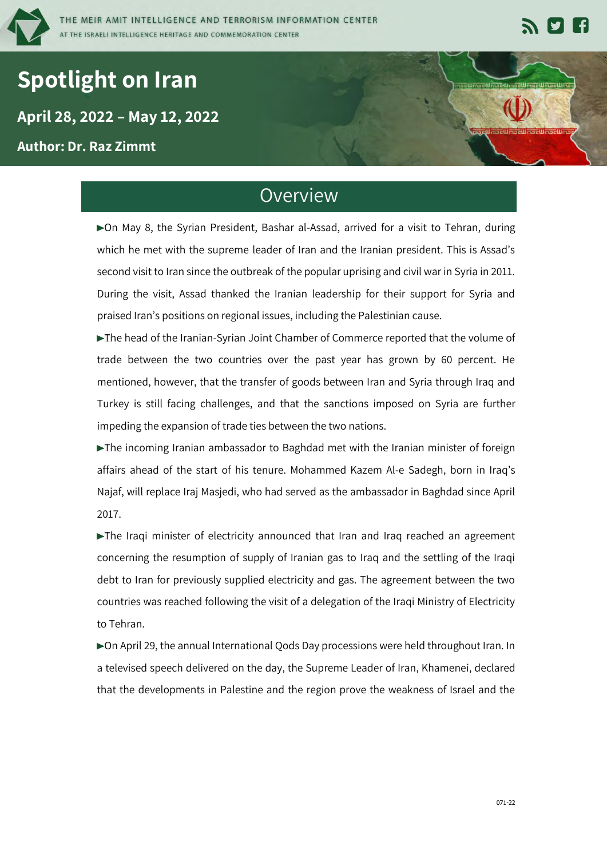

# **Spotlight on Iran**

**` April 28, 2022 – May 12, 2022**

**Author: Dr. Raz Zimmt**

# **Overview**

▶ On May 8, the Syrian President, Bashar al-Assad, arrived for a visit to Tehran, during which he met with the supreme leader of Iran and the Iranian president. This is Assad's second visit to Iran since the outbreak of the popular uprising and civil war in Syria in 2011. During the visit, Assad thanked the Iranian leadership for their support for Syria and praised Iran's positions on regional issues, including the Palestinian cause.

The head of the Iranian-Syrian Joint Chamber of Commerce reported that the volume of trade between the two countries over the past year has grown by 60 percent. He mentioned, however, that the transfer of goods between Iran and Syria through Iraq and Turkey is still facing challenges, and that the sanctions imposed on Syria are further impeding the expansion of trade ties between the two nations.

The incoming Iranian ambassador to Baghdad met with the Iranian minister of foreign affairs ahead of the start of his tenure. Mohammed Kazem Al-e Sadegh, born in Iraq's Najaf, will replace Iraj Masjedi, who had served as the ambassador in Baghdad since April 2017.

The Iraqi minister of electricity announced that Iran and Iraq reached an agreement concerning the resumption of supply of Iranian gas to Iraq and the settling of the Iraqi debt to Iran for previously supplied electricity and gas. The agreement between the two countries was reached following the visit of a delegation of the Iraqi Ministry of Electricity to Tehran.

On April 29, the annual International Qods Day processions were held throughout Iran. In a televised speech delivered on the day, the Supreme Leader of Iran, Khamenei, declared that the developments in Palestine and the region prove the weakness of Israel and the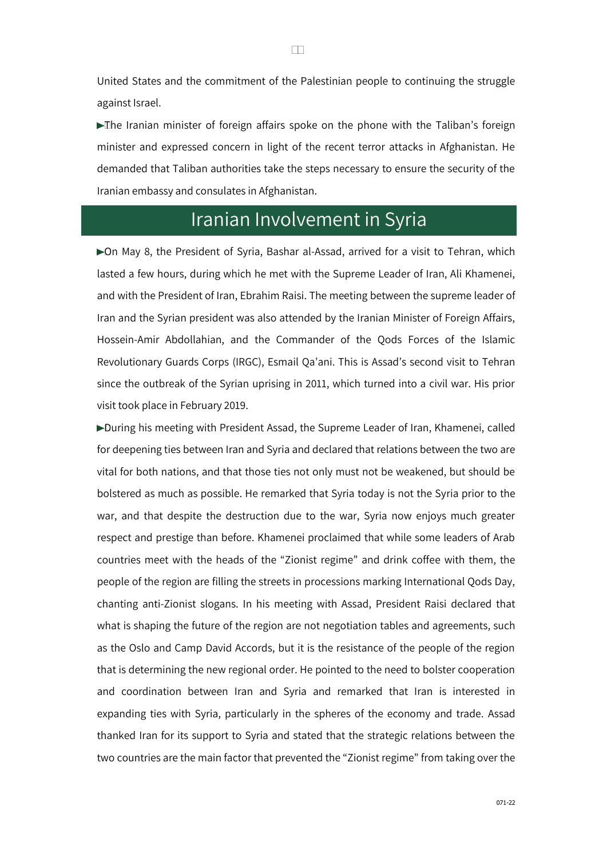United States and the commitment of the Palestinian people to continuing the struggle against Israel.

The Iranian minister of foreign affairs spoke on the phone with the Taliban's foreign minister and expressed concern in light of the recent terror attacks in Afghanistan. He demanded that Taliban authorities take the steps necessary to ensure the security of the Iranian embassy and consulates in Afghanistan.

## Iranian Involvement in Syria

▶ On May 8, the President of Syria, Bashar al-Assad, arrived for a visit to Tehran, which lasted a few hours, during which he met with the Supreme Leader of Iran, Ali Khamenei, and with the President of Iran, Ebrahim Raisi. The meeting between the supreme leader of Iran and the Syrian president was also attended by the Iranian Minister of Foreign Affairs, Hossein-Amir Abdollahian, and the Commander of the Qods Forces of the Islamic Revolutionary Guards Corps (IRGC), Esmail Qa'ani. This is Assad's second visit to Tehran since the outbreak of the Syrian uprising in 2011, which turned into a civil war. His prior visit took place in February 2019.

During his meeting with President Assad, the Supreme Leader of Iran, Khamenei, called for deepening ties between Iran and Syria and declared that relations between the two are vital for both nations, and that those ties not only must not be weakened, but should be bolstered as much as possible. He remarked that Syria today is not the Syria prior to the war, and that despite the destruction due to the war, Syria now enjoys much greater respect and prestige than before. Khamenei proclaimed that while some leaders of Arab countries meet with the heads of the "Zionist regime" and drink coffee with them, the people of the region are filling the streets in processions marking International Qods Day, chanting anti-Zionist slogans. In his meeting with Assad, President Raisi declared that what is shaping the future of the region are not negotiation tables and agreements, such as the Oslo and Camp David Accords, but it is the resistance of the people of the region that is determining the new regional order. He pointed to the need to bolster cooperation and coordination between Iran and Syria and remarked that Iran is interested in expanding ties with Syria, particularly in the spheres of the economy and trade. Assad thanked Iran for its support to Syria and stated that the strategic relations between the two countries are the main factor that prevented the "Zionist regime" from taking over the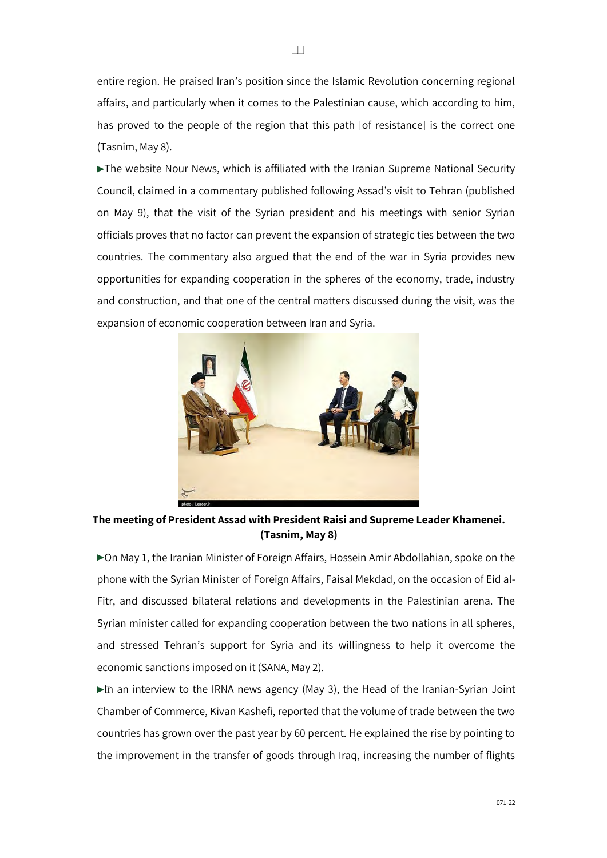entire region. He praised Iran's position since the Islamic Revolution concerning regional affairs, and particularly when it comes to the Palestinian cause, which according to him, has proved to the people of the region that this path [of resistance] is the correct one (Tasnim, May 8).

The website Nour News, which is affiliated with the Iranian Supreme National Security Council, claimed in a commentary published following Assad's visit to Tehran (published on May 9), that the visit of the Syrian president and his meetings with senior Syrian officials proves that no factor can prevent the expansion of strategic ties between the two countries. The commentary also argued that the end of the war in Syria provides new opportunities for expanding cooperation in the spheres of the economy, trade, industry and construction, and that one of the central matters discussed during the visit, was the expansion of economic cooperation between Iran and Syria.



**The meeting of President Assad with President Raisi and Supreme Leader Khamenei. (Tasnim, May 8)** 

On May 1, the Iranian Minister of Foreign Affairs, Hossein Amir Abdollahian, spoke on the phone with the Syrian Minister of Foreign Affairs, Faisal Mekdad, on the occasion of Eid al-Fitr, and discussed bilateral relations and developments in the Palestinian arena. The Syrian minister called for expanding cooperation between the two nations in all spheres, and stressed Tehran's support for Syria and its willingness to help it overcome the economic sanctions imposed on it (SANA, May 2).

In an interview to the IRNA news agency (May 3), the Head of the Iranian-Syrian Joint Chamber of Commerce, Kivan Kashefi, reported that the volume of trade between the two countries has grown over the past year by 60 percent. He explained the rise by pointing to the improvement in the transfer of goods through Iraq, increasing the number of flights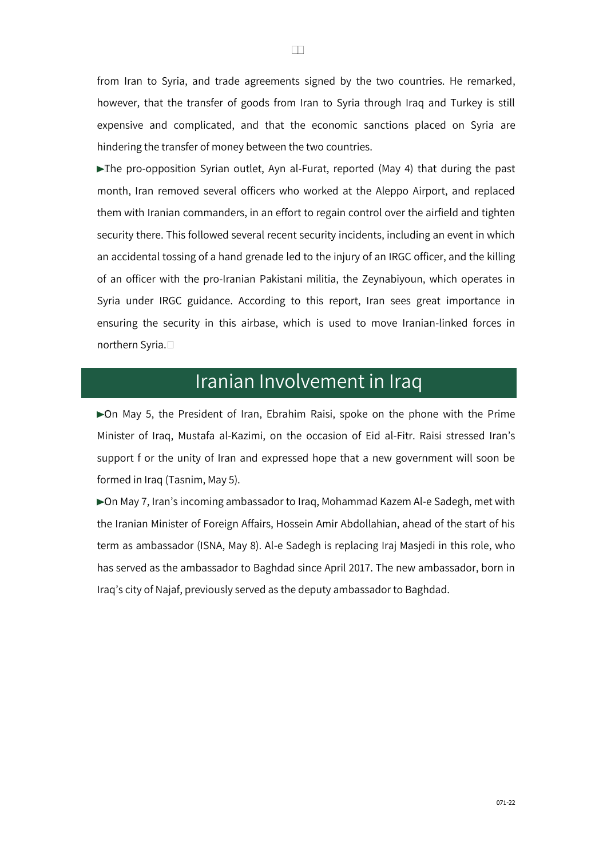from Iran to Syria, and trade agreements signed by the two countries. He remarked, however, that the transfer of goods from Iran to Syria through Iraq and Turkey is still expensive and complicated, and that the economic sanctions placed on Syria are hindering the transfer of money between the two countries.

The pro-opposition Syrian outlet, Ayn al-Furat, reported (May 4) that during the past month, Iran removed several officers who worked at the Aleppo Airport, and replaced them with Iranian commanders, in an effort to regain control over the airfield and tighten security there. This followed several recent security incidents, including an event in which an accidental tossing of a hand grenade led to the injury of an IRGC officer, and the killing of an officer with the pro-Iranian Pakistani militia, the Zeynabiyoun, which operates in Syria under IRGC guidance. According to this report, Iran sees great importance in ensuring the security in this airbase, which is used to move Iranian-linked forces in northern Syria.

### Iranian Involvement in Iraq

On May 5, the President of Iran, Ebrahim Raisi, spoke on the phone with the Prime Minister of Iraq, Mustafa al-Kazimi, on the occasion of Eid al-Fitr. Raisi stressed Iran's support f or the unity of Iran and expressed hope that a new government will soon be formed in Iraq (Tasnim, May 5).

▶ On May 7, Iran's incoming ambassador to Iraq, Mohammad Kazem Al-e Sadegh, met with the Iranian Minister of Foreign Affairs, Hossein Amir Abdollahian, ahead of the start of his term as ambassador (ISNA, May 8). Al-e Sadegh is replacing Iraj Masjedi in this role, who has served as the ambassador to Baghdad since April 2017. The new ambassador, born in Iraq's city of Najaf, previously served as the deputy ambassador to Baghdad.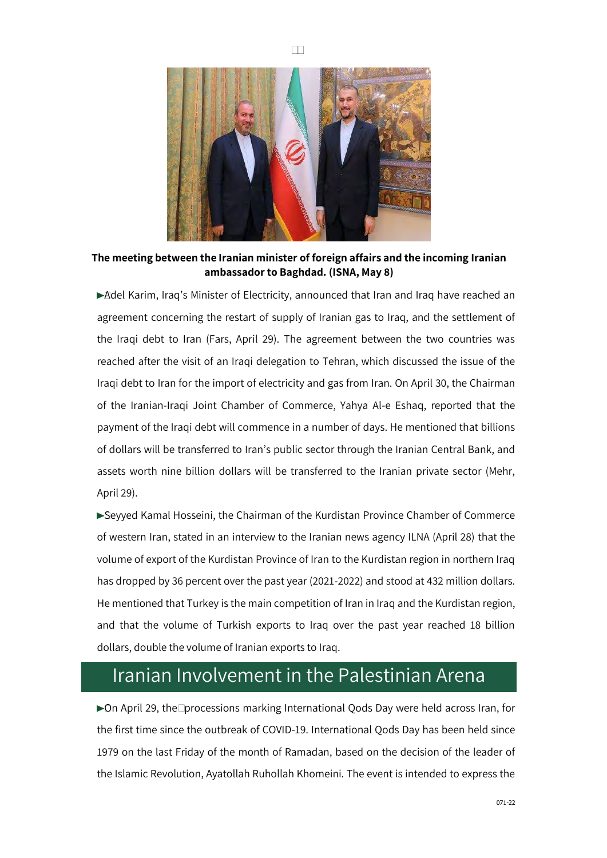

**The meeting between the Iranian minister of foreign affairs and the incoming Iranian ambassador to Baghdad. (ISNA, May 8)** 

Adel Karim, Iraq's Minister of Electricity, announced that Iran and Iraq have reached an agreement concerning the restart of supply of Iranian gas to Iraq, and the settlement of the Iraqi debt to Iran (Fars, April 29). The agreement between the two countries was reached after the visit of an Iraqi delegation to Tehran, which discussed the issue of the Iraqi debt to Iran for the import of electricity and gas from Iran. On April 30, the Chairman of the Iranian-Iraqi Joint Chamber of Commerce, Yahya Al-e Eshaq, reported that the payment of the Iraqi debt will commence in a number of days. He mentioned that billions of dollars will be transferred to Iran's public sector through the Iranian Central Bank, and assets worth nine billion dollars will be transferred to the Iranian private sector (Mehr, April 29).

Seyyed Kamal Hosseini, the Chairman of the Kurdistan Province Chamber of Commerce of western Iran, stated in an interview to the Iranian news agency ILNA (April 28) that the volume of export of the Kurdistan Province of Iran to the Kurdistan region in northern Iraq has dropped by 36 percent over the past year (2021-2022) and stood at 432 million dollars. He mentioned that Turkey is the main competition of Iran in Iraq and the Kurdistan region, and that the volume of Turkish exports to Iraq over the past year reached 18 billion dollars, double the volume of Iranian exports to Iraq.

### Iranian Involvement in the Palestinian Arena

On April 29, the processions marking International Qods Day were held across Iran, for the first time since the outbreak of COVID-19. International Qods Day has been held since 1979 on the last Friday of the month of Ramadan, based on the decision of the leader of the Islamic Revolution, Ayatollah Ruhollah Khomeini. The event is intended to express the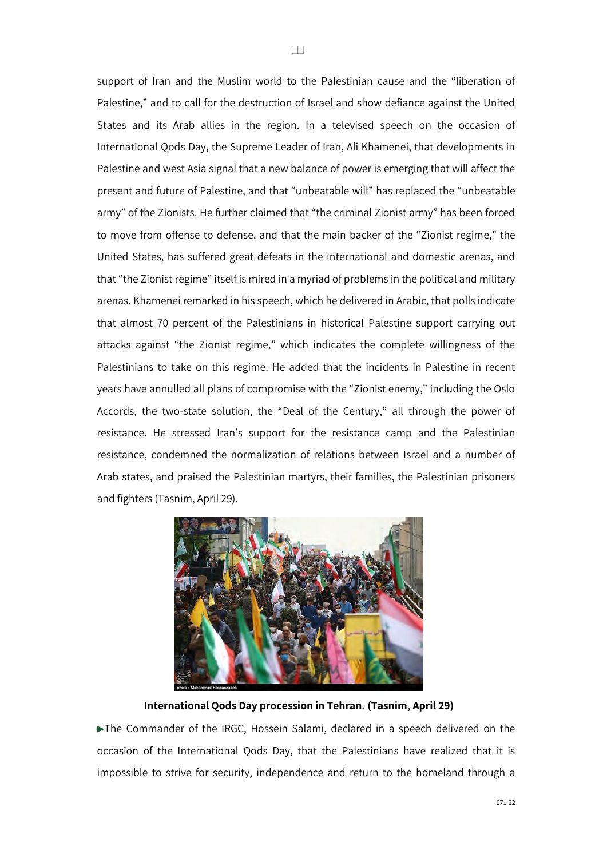support of Iran and the Muslim world to the Palestinian cause and the "liberation of Palestine," and to call for the destruction of Israel and show defiance against the United States and its Arab allies in the region. In a televised speech on the occasion of International Qods Day, the Supreme Leader of Iran, Ali Khamenei, that developments in Palestine and west Asia signal that a new balance of power is emerging that will affect the present and future of Palestine, and that "unbeatable will" has replaced the "unbeatable army" of the Zionists. He further claimed that "the criminal Zionist army" has been forced to move from offense to defense, and that the main backer of the "Zionist regime," the United States, has suffered great defeats in the international and domestic arenas, and that "the Zionist regime" itself is mired in a myriad of problems in the political and military arenas. Khamenei remarked in his speech, which he delivered in Arabic, that polls indicate that almost 70 percent of the Palestinians in historical Palestine support carrying out attacks against "the Zionist regime," which indicates the complete willingness of the Palestinians to take on this regime. He added that the incidents in Palestine in recent years have annulled all plans of compromise with the "Zionist enemy," including the Oslo Accords, the two-state solution, the "Deal of the Century," all through the power of resistance. He stressed Iran's support for the resistance camp and the Palestinian resistance, condemned the normalization of relations between Israel and a number of Arab states, and praised the Palestinian martyrs, their families, the Palestinian prisoners and fighters (Tasnim, April 29).



#### **International Qods Day procession in Tehran. (Tasnim, April 29)**

The Commander of the IRGC, Hossein Salami, declared in a speech delivered on the occasion of the International Qods Day, that the Palestinians have realized that it is impossible to strive for security, independence and return to the homeland through a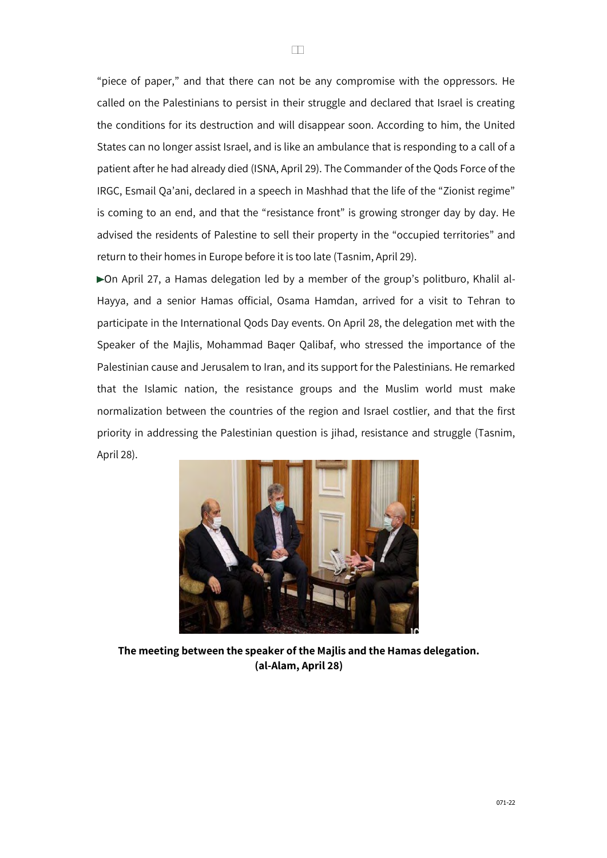"piece of paper," and that there can not be any compromise with the oppressors. He called on the Palestinians to persist in their struggle and declared that Israel is creating the conditions for its destruction and will disappear soon. According to him, the United States can no longer assist Israel, and is like an ambulance that is responding to a call of a patient after he had already died (ISNA, April 29). The Commander of the Qods Force of the IRGC, Esmail Qa'ani, declared in a speech in Mashhad that the life of the "Zionist regime" is coming to an end, and that the "resistance front" is growing stronger day by day. He advised the residents of Palestine to sell their property in the "occupied territories" and return to their homes in Europe before it is too late (Tasnim, April 29).

On April 27, a Hamas delegation led by a member of the group's politburo, Khalil al-Hayya, and a senior Hamas official, Osama Hamdan, arrived for a visit to Tehran to participate in the International Qods Day events. On April 28, the delegation met with the Speaker of the Majlis, Mohammad Baqer Qalibaf, who stressed the importance of the Palestinian cause and Jerusalem to Iran, and its support for the Palestinians. He remarked that the Islamic nation, the resistance groups and the Muslim world must make normalization between the countries of the region and Israel costlier, and that the first priority in addressing the Palestinian question is jihad, resistance and struggle (Tasnim, April 28).



**The meeting between the speaker of the Majlis and the Hamas delegation. (al-Alam, April 28)**